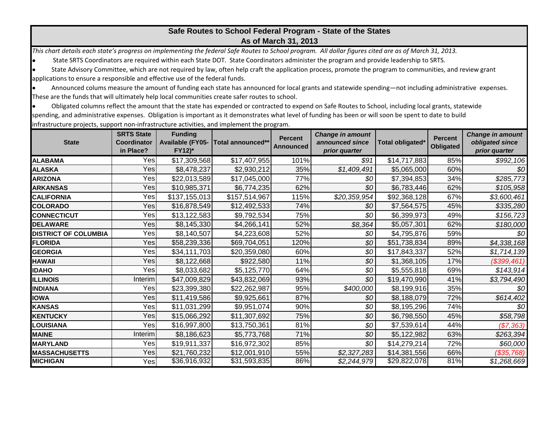## **Safe Routes to School Federal Program - State of the States As of March 31, 2013**

*This chart details each state's progress on implementing the federal Safe Routes to School program. All dollar figures cited are as of March 31, 2013.*

State SRTS Coordinators are required within each State DOT. State Coordinators administer the program and provide leadership to SRTS.

 State Advisory Committee, which are not required by law, often help craft the application process, promote the program to communities, and review grant applications to ensure a responsible and effective use of the federal funds.

 Announced colums measure the amount of funding each state has announced for local grants and statewide spending—not including administrative expenses. These are the funds that will ultimately help local communities create safer routes to school.

 Obligated columns reflect the amount that the state has expended or contracted to expend on Safe Routes to School, including local grants, statewide spending, and administrative expenses. Obligation is important as it demonstrates what level of funding has been or will soon be spent to date to build

| <b>State</b>                | <b>SRTS State</b><br>Coordinator<br>in Place? | <b>Funding</b><br><b>Available (FY05-</b><br>FY12)* | <b>Total announced**</b> | <b>Percent</b><br><b>Announced</b> | <b>Change in amount</b><br>announced since<br>prior quarter | Total obligated <sup>®</sup> | <b>Percent</b><br>Obligated | <b>Change in amount</b><br>obligated since<br>prior quarter |
|-----------------------------|-----------------------------------------------|-----------------------------------------------------|--------------------------|------------------------------------|-------------------------------------------------------------|------------------------------|-----------------------------|-------------------------------------------------------------|
| <b>ALABAMA</b>              | Yes                                           | \$17,309,568                                        | \$17,407,955             | 101%                               | \$91                                                        | \$14,717,883                 | 85%                         | \$992,106                                                   |
| <b>ALASKA</b>               | Yes                                           | \$8,478,237                                         | \$2,930,212              | 35%                                | \$1,409,491                                                 | \$5,065,000                  | 60%                         | \$0                                                         |
| <b>ARIZONA</b>              | Yes                                           | \$22,013,589                                        | \$17,045,000             | 77%                                | \$0                                                         | \$7,394,853                  | 34%                         | \$285,773                                                   |
| <b>ARKANSAS</b>             | Yes                                           | \$10,985,371                                        | \$6,774,235              | 62%                                | \$0                                                         | \$6,783,446                  | 62%                         | \$105,958                                                   |
| <b>CALIFORNIA</b>           | Yes                                           | \$137,155,013                                       | \$157,514,967            | 115%                               | \$20,359,954                                                | \$92,368,128                 | 67%                         | \$3,600,461                                                 |
| <b>COLORADO</b>             | Yes                                           | \$16,878,549                                        | \$12,492,533             | 74%                                | \$0                                                         | \$7,564,575                  | 45%                         | \$335,280                                                   |
| <b>CONNECTICUT</b>          | Yes                                           | \$13,122,583                                        | \$9,792,534              | 75%                                | \$0                                                         | \$6,399,973                  | 49%                         | \$156,723                                                   |
| <b>DELAWARE</b>             | Yes                                           | \$8,145,330                                         | \$4,266,141              | 52%                                | \$8,364                                                     | \$5,057,301                  | 62%                         | \$180,000                                                   |
| <b>DISTRICT OF COLUMBIA</b> | Yes                                           | \$8,140,507                                         | \$4,223,608              | 52%                                | \$0                                                         | \$4,795,876                  | 59%                         | \$0                                                         |
| <b>FLORIDA</b>              | Yes                                           | \$58,239,336                                        | \$69,704,051             | 120%                               | 30                                                          | \$51,738,834                 | 89%                         | \$4,338,168                                                 |
| <b>GEORGIA</b>              | Yes                                           | \$34,111,703                                        | \$20,359,080             | 60%                                | \$0                                                         | \$17,843,337                 | 52%                         | \$1,714,139                                                 |
| <b>HAWAII</b>               | Yes                                           | \$8,122,668                                         | \$922,580                | 11%                                | \$0                                                         | \$1,368,105                  | 17%                         | $($ \$399,461) $ $                                          |
| <b>IDAHO</b>                | Yes                                           | \$8,033,682                                         | \$5,125,770              | 64%                                | \$0                                                         | \$5,555,818                  | 69%                         | \$143,914                                                   |
| <b>ILLINOIS</b>             | Interim                                       | \$47,009,829                                        | \$43,832,069             | 93%                                | 30                                                          | \$19,470,990                 | 41%                         | \$3,794,490                                                 |
| <b>INDIANA</b>              | Yes                                           | \$23,399,380                                        | \$22,262,987             | 95%                                | \$400,000                                                   | \$8,199,916                  | 35%                         | \$0                                                         |
| <b>IOWA</b>                 | Yes                                           | \$11,419,586                                        | \$9,925,661              | 87%                                | \$0                                                         | \$8,188,079                  | 72%                         | \$614,402                                                   |
| <b>KANSAS</b>               | Yes                                           | \$11,031,299                                        | \$9,951,074              | 90%                                | \$0                                                         | \$8,195,296                  | 74%                         | \$0                                                         |
| <b>KENTUCKY</b>             | Yes                                           | \$15,066,292                                        | \$11,307,692             | 75%                                | \$0                                                         | \$6,798,550                  | 45%                         | \$58,798                                                    |
| <b>LOUISIANA</b>            | Yes                                           | \$16,997,800                                        | \$13,750,361             | 81%                                | \$0                                                         | \$7,539,614                  | 44%                         | (\$7,363)                                                   |
| <b>MAINE</b>                | Interim                                       | \$8,186,623                                         | \$5,773,768              | 71%                                | \$0                                                         | \$5,122,982                  | 63%                         | \$263,394                                                   |
| <b>MARYLAND</b>             | Yes                                           | \$19,911,337                                        | \$16,972,302             | 85%                                | \$0                                                         | \$14,279,214                 | 72%                         | \$60,000                                                    |
| <b>MASSACHUSETTS</b>        | Yes                                           | \$21,760,232                                        | \$12,001,910             | 55%                                | \$2,327,283                                                 | \$14,381,556                 | 66%                         | $($ \$35,768) $ $                                           |
| <b>MICHIGAN</b>             | Yes                                           | \$36,916,932                                        | \$31,593,835             | 86%                                | $\sqrt{$2,244,979}$                                         | \$29,822,078                 | 81%                         | $\sqrt{$1,268,669}$                                         |

infrastructure projects, support non-infrastructure activities, and implement the program.